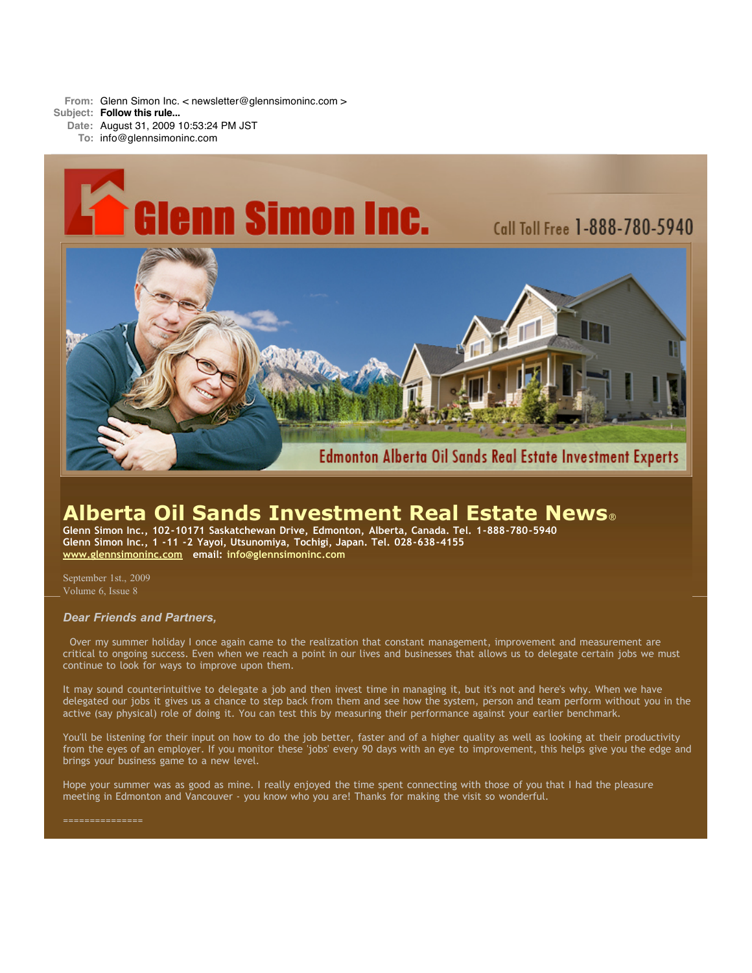**From:** Glenn Simon Inc. < newsletter@glennsimoninc.com > **Subject: Follow this rule...**

**Date:** August 31, 2009 10:53:24 PM JST **To:** info@glennsimoninc.com



# **Alberta Oil Sands Investment Real Estate News**®

**Glenn Simon Inc., 102-10171 Saskatchewan Drive, Edmonton, Alberta, Canada. Tel. 1-888-780-5940 Glenn Simon Inc., 1 -11 -2 Yayoi, Utsunomiya, Tochigi, Japan. Tel. 028-638-4155 [www.glennsimoninc.com](http://www.glennsimoninc.com/) email: [info@glennsimoninc.com](mailto:info@glennsimoninc.com)**

September 1st., 2009 Volume 6, Issue 8

## *Dear Friends and Partners,*

Over my summer holiday I once again came to the realization that constant management, improvement and measurement are critical to ongoing success. Even when we reach a point in our lives and businesses that allows us to delegate certain jobs we must continue to look for ways to improve upon them.

It may sound counterintuitive to delegate a job and then invest time in managing it, but it's not and here's why. When we have delegated our jobs it gives us a chance to step back from them and see how the system, person and team perform without you in the active (say physical) role of doing it. You can test this by measuring their performance against your earlier benchmark.

You'll be listening for their input on how to do the job better, faster and of a higher quality as well as looking at their productivity from the eyes of an employer. If you monitor these 'jobs' every 90 days with an eye to improvement, this helps give you the edge and brings your business game to a new level.

Hope your summer was as good as mine. I really enjoyed the time spent connecting with those of you that I had the pleasure meeting in Edmonton and Vancouver - you know who you are! Thanks for making the visit so wonderful.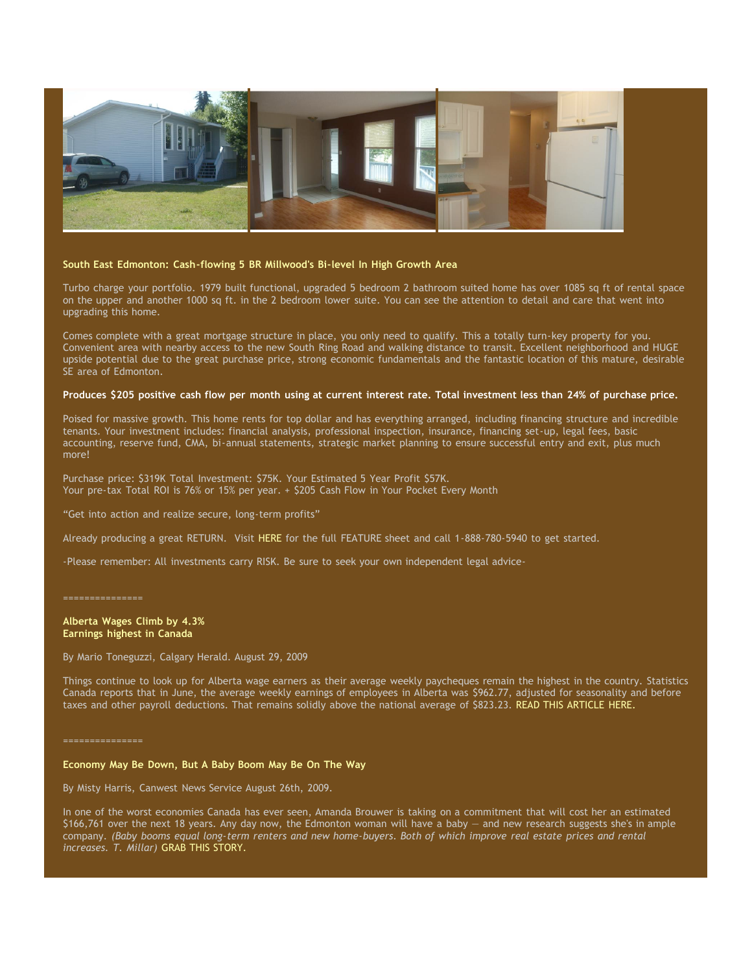

## **South East Edmonton: Cash-flowing 5 BR Millwood's Bi-level In High Growth Area**

Turbo charge your portfolio. 1979 built functional, upgraded 5 bedroom 2 bathroom suited home has over 1085 sq ft of rental space on the upper and another 1000 sq ft. in the 2 bedroom lower suite. You can see the attention to detail and care that went into upgrading this home.

Comes complete with a great mortgage structure in place, you only need to qualify. This a totally turn-key property for you. Convenient area with nearby access to the new South Ring Road and walking distance to transit. Excellent neighborhood and HUGE upside potential due to the great purchase price, strong economic fundamentals and the fantastic location of this mature, desirable SE area of Edmonton.

#### Produces \$205 positive cash flow per month using at current interest rate. Total [investment](http://www.glennsimoninc.com/featured_detail.php?id=66) less than 24% of purchase price.

Poised for massive growth. This home rents for top dollar and has everything arranged, including financing structure and incredible tenants. Your investment includes: financial analysis, professional inspection, insurance, financing set-up, legal fees, basic accounting, reserve fund, CMA, bi-annual statements, strategic market planning to ensure successful entry and exit, plus much more!

Purchase price: \$319K Total Investment: \$75K. Your Estimated 5 Year Profit \$57K. Your pre-tax Total ROI is 76% or 15% per year. + \$205 Cash Flow in Your Pocket Every Month

"Get into action and realize secure, long-term profits"

Already producing a great RETURN. Visit [HERE](http://www.glennsimoninc.com/featured_detail.php?id=66) for the full FEATURE sheet and call 1-888-780-5940 to get started.

-Please remember: All investments carry RISK. Be sure to seek your own independent legal advice-

===============

**Alberta Wages Climb by 4.3% Earnings highest in Canada**

By Mario Toneguzzi, Calgary Herald. August 29, 2009

Things continue to look up for Alberta wage earners as their average weekly paycheques remain the highest in the country. Statistics Canada reports that in June, the average weekly earnings of employees in Alberta was \$962.77, adjusted for seasonality and before taxes and other payroll deductions. That remains solidly above the national average of \$823.23. READ THIS [ARTICLE](http://www.calgaryherald.com/business/Alberta+wages+climb/1941524/story.html) HERE.

===============

#### **Economy May Be Down, But A Baby Boom May Be On The Way**

By Misty Harris, Canwest News Service August 26th, 2009.

In one of the worst economies Canada has ever seen, Amanda Brouwer is taking on a commitment that will cost her an estimated \$166,761 over the next 18 years. Any day now, the Edmonton woman will have a baby — and new research suggests she's in ample company. (Baby booms equal long-term renters and new home-buyers. Both of which improve real estate prices and rental *increases. T. Millar)* GRAB THIS [STORY.](http://www.calgaryherald.com/business/Economy+down+baby+boom/1705900/story.html)